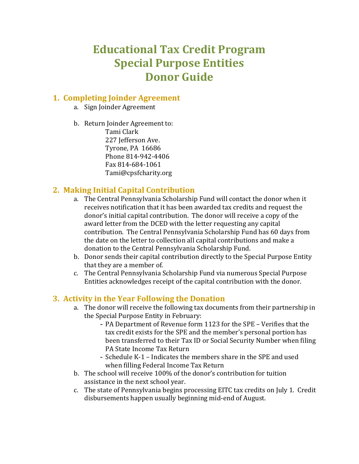# **Educational Tax Credit Program Special Purpose Entities Donor Guide**

#### **1. Completing Joinder Agreement**

- a. Sign Joinder Agreement
- b. Return Joinder Agreement to: Tami Clark 227 Jefferson Ave. Tyrone, PA 16686

Phone 814-942-4406 Fax 814-684-1061 Tami@cpsfcharity.org

### **2. Making Initial Capital Contribution**

- a. The Central Pennsylvania Scholarship Fund will contact the donor when it receives notification that it has been awarded tax credits and request the donor's initial capital contribution. The donor will receive a copy of the award letter from the DCED with the letter requesting any capital contribution. The Central Pennsylvania Scholarship Fund has 60 days from the date on the letter to collection all capital contributions and make a donation to the Central Pennsylvania Scholarship Fund.
- b. Donor sends their capital contribution directly to the Special Purpose Entity that they are a member of.
- c. The Central Pennsylvania Scholarship Fund via numerous Special Purpose Entities acknowledges receipt of the capital contribution with the donor.

# **3. Activity in the Year Following the Donation**

- a. The donor will receive the following tax documents from their partnership in the Special Purpose Entity in February:
	- PA Department of Revenue form 1123 for the SPE Verifies that the tax credit exists for the SPE and the member's personal portion has been transferred to their Tax ID or Social Security Number when filing PA State Income Tax Return
	- Schedule K-1 Indicates the members share in the SPE and used when filling Federal Income Tax Return
- b. The school will receive 100% of the donor's contribution for tuition assistance in the next school year.
- c. The state of Pennsylvania begins processing EITC tax credits on July 1. Credit disbursements happen usually beginning mid-end of August.